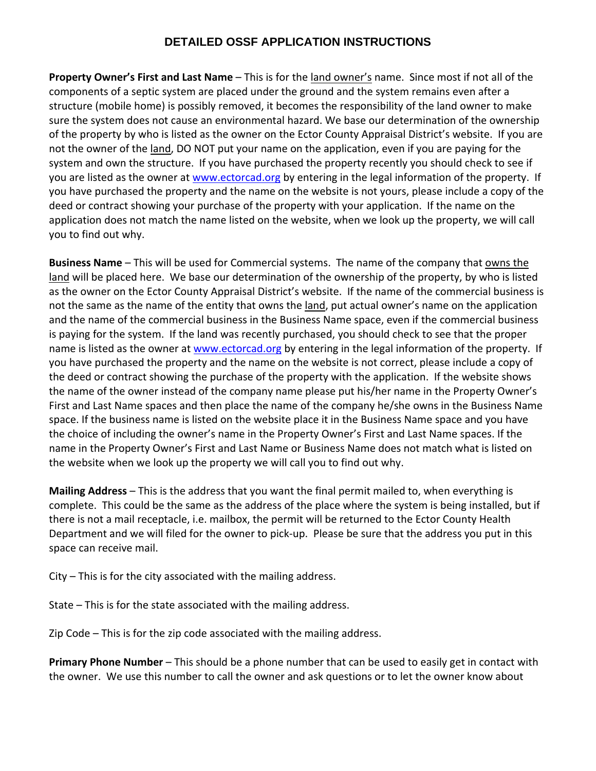## **DETAILED OSSF APPLICATION INSTRUCTIONS**

**Property Owner's First and Last Name** – This is for the land owner's name. Since most if not all of the components of a septic system are placed under the ground and the system remains even after a structure (mobile home) is possibly removed, it becomes the responsibility of the land owner to make sure the system does not cause an environmental hazard. We base our determination of the ownership of the property by who is listed as the owner on the Ector County Appraisal District's website. If you are not the owner of the land, DO NOT put your name on the application, even if you are paying for the system and own the structure. If you have purchased the property recently you should check to see if you are listed as the owner at [www.ectorcad.org](http://www.ectorcad.org/) by entering in the legal information of the property. If you have purchased the property and the name on the website is not yours, please include a copy of the deed or contract showing your purchase of the property with your application. If the name on the application does not match the name listed on the website, when we look up the property, we will call you to find out why.

**Business Name** – This will be used for Commercial systems. The name of the company that owns the land will be placed here. We base our determination of the ownership of the property, by who is listed as the owner on the Ector County Appraisal District's website. If the name of the commercial business is not the same as the name of the entity that owns the land, put actual owner's name on the application and the name of the commercial business in the Business Name space, even if the commercial business is paying for the system. If the land was recently purchased, you should check to see that the proper name is listed as the owner at [www.ectorcad.org](http://www.ectorcad.org/) by entering in the legal information of the property. If you have purchased the property and the name on the website is not correct, please include a copy of the deed or contract showing the purchase of the property with the application. If the website shows the name of the owner instead of the company name please put his/her name in the Property Owner's First and Last Name spaces and then place the name of the company he/she owns in the Business Name space. If the business name is listed on the website place it in the Business Name space and you have the choice of including the owner's name in the Property Owner's First and Last Name spaces. If the name in the Property Owner's First and Last Name or Business Name does not match what is listed on the website when we look up the property we will call you to find out why.

**Mailing Address** – This is the address that you want the final permit mailed to, when everything is complete. This could be the same as the address of the place where the system is being installed, but if there is not a mail receptacle, i.e. mailbox, the permit will be returned to the Ector County Health Department and we will filed for the owner to pick‐up. Please be sure that the address you put in this space can receive mail.

City – This is for the city associated with the mailing address.

State – This is for the state associated with the mailing address.

Zip Code – This is for the zip code associated with the mailing address.

**Primary Phone Number** – This should be a phone number that can be used to easily get in contact with the owner. We use this number to call the owner and ask questions or to let the owner know about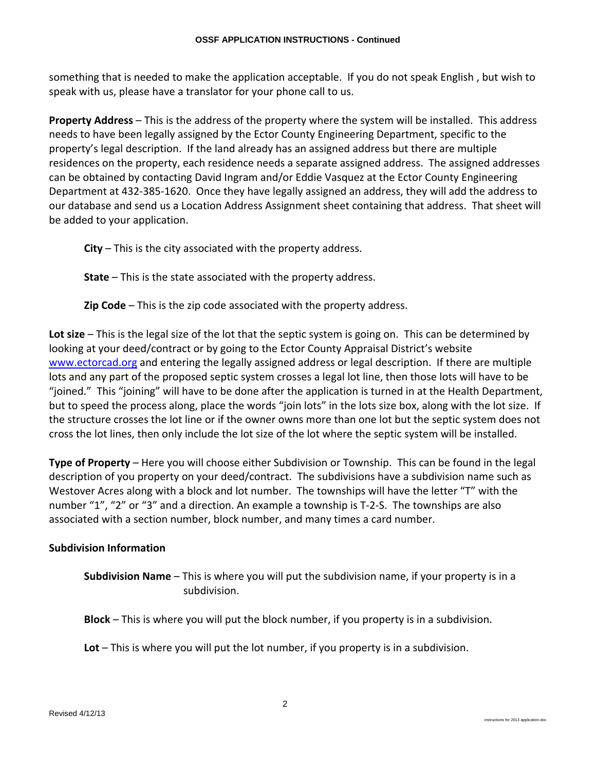something that is needed to make the application acceptable. If you do not speak English , but wish to speak with us, please have a translator for your phone call to us.

**Property Address** – This is the address of the property where the system will be installed. This address needs to have been legally assigned by the Ector County Engineering Department, specific to the property's legal description. If the land already has an assigned address but there are multiple residences on the property, each residence needs a separate assigned address. The assigned addresses can be obtained by contacting David Ingram and/or Eddie Vasquez at the Ector County Engineering Department at 432‐385‐1620. Once they have legally assigned an address, they will add the address to our database and send us a Location Address Assignment sheet containing that address. That sheet will be added to your application.

**City** – This is the city associated with the property address.

**State** – This is the state associated with the property address.

**Zip Code** – This is the zip code associated with the property address.

**Lot size** – This is the legal size of the lot that the septic system is going on. This can be determined by looking at your deed/contract or by going to the Ector County Appraisal District's website [www.ectorcad.org](http://www.ectorcad.org/) and entering the legally assigned address or legal description. If there are multiple lots and any part of the proposed septic system crosses a legal lot line, then those lots will have to be "joined." This "joining" will have to be done after the application is turned in at the Health Department, but to speed the process along, place the words "join lots" in the lots size box, along with the lot size. If the structure crosses the lot line or if the owner owns more than one lot but the septic system does not cross the lot lines, then only include the lot size of the lot where the septic system will be installed.

**Type of Property** – Here you will choose either Subdivision or Township. This can be found in the legal description of you property on your deed/contract. The subdivisions have a subdivision name such as Westover Acres along with a block and lot number. The townships will have the letter "T" with the number "1", "2" or "3" and a direction. An example a township is T-2-S. The townships are also associated with a section number, block number, and many times a card number.

## **Subdivision Information**

**Subdivision Name** – This is where you will put the subdivision name, if your property is in a subdivision.

**Block** – This is where you will put the block number, if you property is in a subdivision.

**Lot** – This is where you will put the lot number, if you property is in a subdivision.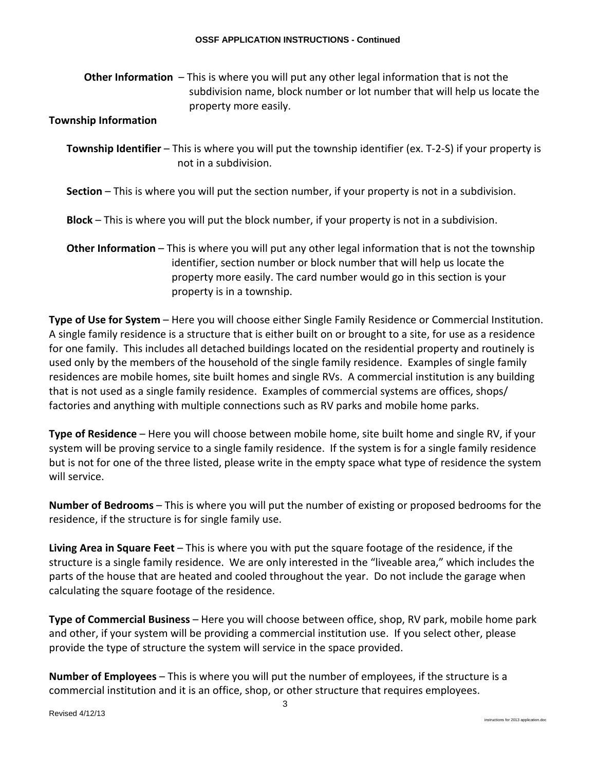**Other Information** – This is where you will put any other legal information that is not the subdivision name, block number or lot number that will help us locate the property more easily.

## **Township Information**

**Township Identifier** – This is where you will put the township identifier (ex. T‐2‐S) if your property is not in a subdivision.

**Section** – This is where you will put the section number, if your property is not in a subdivision.

**Block** – This is where you will put the block number, if your property is not in a subdivision.

**Other Information** – This is where you will put any other legal information that is not the township identifier, section number or block number that will help us locate the property more easily. The card number would go in this section is your property is in a township.

**Type of Use for System** – Here you will choose either Single Family Residence or Commercial Institution. A single family residence is a structure that is either built on or brought to a site, for use as a residence for one family. This includes all detached buildings located on the residential property and routinely is used only by the members of the household of the single family residence. Examples of single family residences are mobile homes, site built homes and single RVs. A commercial institution is any building that is not used as a single family residence. Examples of commercial systems are offices, shops/ factories and anything with multiple connections such as RV parks and mobile home parks.

**Type of Residence** – Here you will choose between mobile home, site built home and single RV, if your system will be proving service to a single family residence. If the system is for a single family residence but is not for one of the three listed, please write in the empty space what type of residence the system will service.

**Number of Bedrooms** – This is where you will put the number of existing or proposed bedrooms for the residence, if the structure is for single family use.

**Living Area in Square Feet** – This is where you with put the square footage of the residence, if the structure is a single family residence. We are only interested in the "liveable area," which includes the parts of the house that are heated and cooled throughout the year. Do not include the garage when calculating the square footage of the residence.

**Type of Commercial Business** – Here you will choose between office, shop, RV park, mobile home park and other, if your system will be providing a commercial institution use. If you select other, please provide the type of structure the system will service in the space provided.

**Number of Employees** – This is where you will put the number of employees, if the structure is a commercial institution and it is an office, shop, or other structure that requires employees.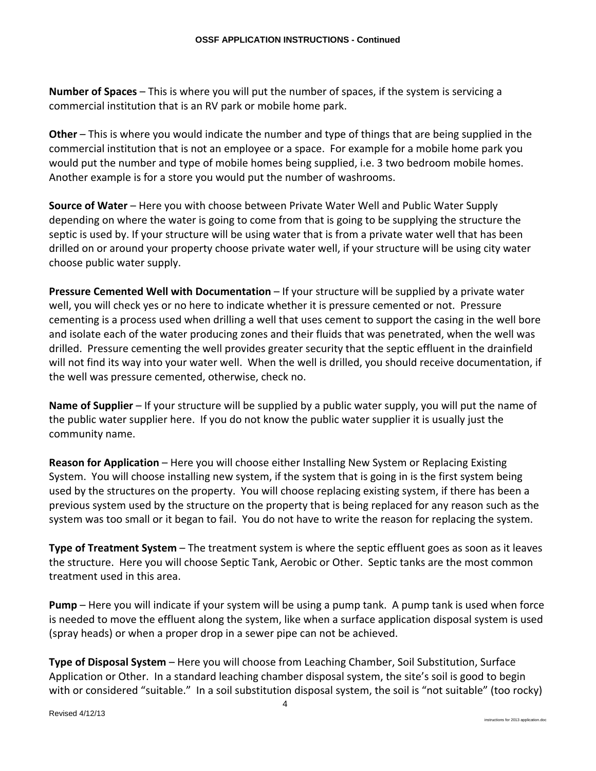**Number of Spaces** – This is where you will put the number of spaces, if the system is servicing a commercial institution that is an RV park or mobile home park.

**Other** – This is where you would indicate the number and type of things that are being supplied in the commercial institution that is not an employee or a space. For example for a mobile home park you would put the number and type of mobile homes being supplied, i.e. 3 two bedroom mobile homes. Another example is for a store you would put the number of washrooms.

**Source of Water** – Here you with choose between Private Water Well and Public Water Supply depending on where the water is going to come from that is going to be supplying the structure the septic is used by. If your structure will be using water that is from a private water well that has been drilled on or around your property choose private water well, if your structure will be using city water choose public water supply.

**Pressure Cemented Well with Documentation** – If your structure will be supplied by a private water well, you will check yes or no here to indicate whether it is pressure cemented or not. Pressure cementing is a process used when drilling a well that uses cement to support the casing in the well bore and isolate each of the water producing zones and their fluids that was penetrated, when the well was drilled. Pressure cementing the well provides greater security that the septic effluent in the drainfield will not find its way into your water well. When the well is drilled, you should receive documentation, if the well was pressure cemented, otherwise, check no.

**Name of Supplier** – If your structure will be supplied by a public water supply, you will put the name of the public water supplier here. If you do not know the public water supplier it is usually just the community name.

**Reason for Application** – Here you will choose either Installing New System or Replacing Existing System. You will choose installing new system, if the system that is going in is the first system being used by the structures on the property. You will choose replacing existing system, if there has been a previous system used by the structure on the property that is being replaced for any reason such as the system was too small or it began to fail. You do not have to write the reason for replacing the system.

**Type of Treatment System** – The treatment system is where the septic effluent goes as soon as it leaves the structure. Here you will choose Septic Tank, Aerobic or Other. Septic tanks are the most common treatment used in this area.

**Pump** – Here you will indicate if your system will be using a pump tank. A pump tank is used when force is needed to move the effluent along the system, like when a surface application disposal system is used (spray heads) or when a proper drop in a sewer pipe can not be achieved.

**Type of Disposal System** – Here you will choose from Leaching Chamber, Soil Substitution, Surface Application or Other. In a standard leaching chamber disposal system, the site's soil is good to begin with or considered "suitable." In a soil substitution disposal system, the soil is "not suitable" (too rocky)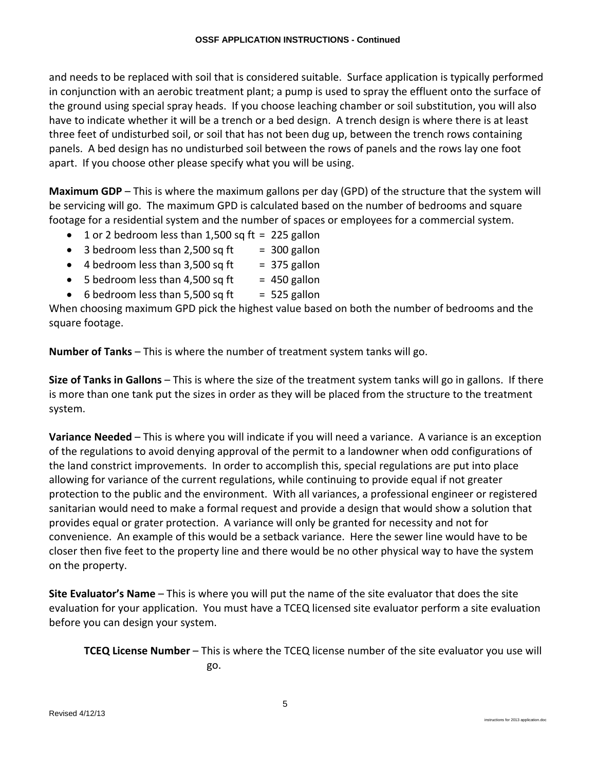and needs to be replaced with soil that is considered suitable. Surface application is typically performed in conjunction with an aerobic treatment plant; a pump is used to spray the effluent onto the surface of the ground using special spray heads. If you choose leaching chamber or soil substitution, you will also have to indicate whether it will be a trench or a bed design. A trench design is where there is at least three feet of undisturbed soil, or soil that has not been dug up, between the trench rows containing panels. A bed design has no undisturbed soil between the rows of panels and the rows lay one foot apart. If you choose other please specify what you will be using.

**Maximum GDP** – This is where the maximum gallons per day (GPD) of the structure that the system will be servicing will go. The maximum GPD is calculated based on the number of bedrooms and square footage for a residential system and the number of spaces or employees for a commercial system.

- 1 or 2 bedroom less than 1,500 sq ft = 225 gallon
- 3 bedroom less than 2,500 sq ft  $=$  300 gallon
- 4 bedroom less than  $3,500$  sq ft = 375 gallon
- 5 bedroom less than 4,500 sq ft  $= 450$  gallon
- 6 bedroom less than 5,500 sq ft  $=$  525 gallon

When choosing maximum GPD pick the highest value based on both the number of bedrooms and the square footage.

**Number of Tanks** – This is where the number of treatment system tanks will go.

**Size of Tanks in Gallons** – This is where the size of the treatment system tanks will go in gallons. If there is more than one tank put the sizes in order as they will be placed from the structure to the treatment system.

**Variance Needed** – This is where you will indicate if you will need a variance. A variance is an exception of the regulations to avoid denying approval of the permit to a landowner when odd configurations of the land constrict improvements. In order to accomplish this, special regulations are put into place allowing for variance of the current regulations, while continuing to provide equal if not greater protection to the public and the environment. With all variances, a professional engineer or registered sanitarian would need to make a formal request and provide a design that would show a solution that provides equal or grater protection. A variance will only be granted for necessity and not for convenience. An example of this would be a setback variance. Here the sewer line would have to be closer then five feet to the property line and there would be no other physical way to have the system on the property.

**Site Evaluator's Name** – This is where you will put the name of the site evaluator that does the site evaluation for your application. You must have a TCEQ licensed site evaluator perform a site evaluation before you can design your system.

**TCEQ License Number** – This is where the TCEQ license number of the site evaluator you use will go.